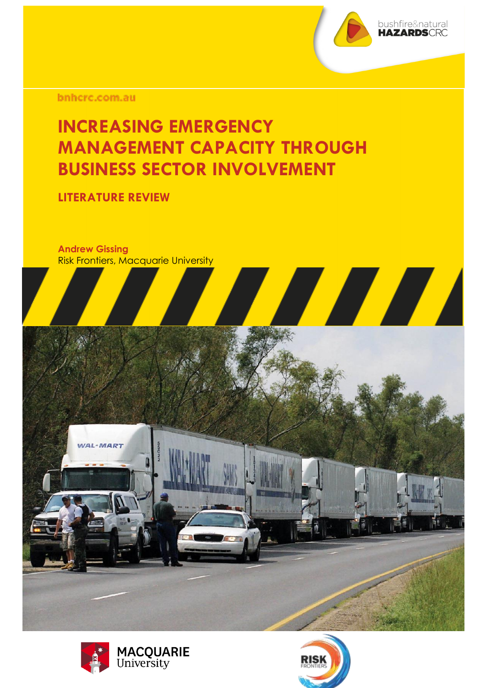

bnhcrc.com.au

### **INCREASING EMERGENCY MANAGEMENT CAPACITY THROUGH BUSINESS SECTOR INVOLVEMENT**

**LITERATURE REVIEW** 

**Andrew Gissing**  Risk Frontiers, Macquarie University





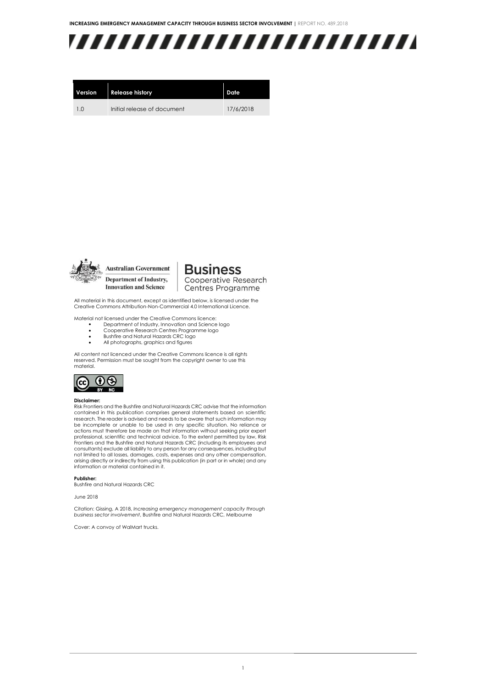

| Version | <b>Release history</b>      | Date      |
|---------|-----------------------------|-----------|
| 10      | Initial release of document | 17/6/2018 |



**Australian Government** 

Department of Industry, **Innovation and Science** 

**Business** Cooperative Research Centres Programme

All material in this document, except as identified below, is licensed under the Creative Commons Attribution-Non-Commercial 4.0 International Licence.

Material not licensed under the Creative Commons licence:

- Department of Industry, Innovation and Science logo
- Cooperative Research Centres Programme logo<br>• Bushfire and Natural Hazards CRC logo Bushfire and Natural Hazards CRC logo
- All photographs, graphics and figures

All content not licenced under the Creative Commons licence is all rights reserved. Permission must be sought from the copyright owner to use this material.



#### **Disclaimer:**

Risk Frontiers and the Bushfire and Natural Hazards CRC advise that the information contained in this publication comprises general statements based on scientific research. The reader is advised and needs to be aware that such information may be incomplete or unable to be used in any specific situation. No reliance or actions must therefore be made on that information without seeking prior expert professional, scientific and technical advice. To the extent permitted by law, Risk<br>Frontiers and the Bushfire and Natural Hazards CRC (including its employees and consultants) exclude all liability to any person for any consequences, including but not limited to all losses, damages, costs, expenses and any other compensation, arising directly or indirectly from using this publication (in part or in whole) and any information or material contained in it.

**Publisher:**

Bushfire and Natural Hazards CRC

#### June 2018

Citation: Gissing, A 2018, *Increasing emergency management capacity through business sector involvement*, Bushfire and Natural Hazards CRC, Melbourne

Cover: A convoy of WalMart trucks.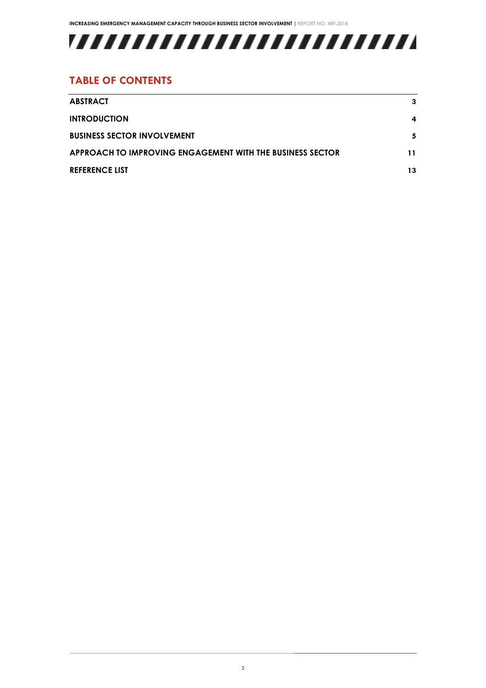

#### **TABLE OF CONTENTS**

| <b>ABSTRACT</b>                                           | 3  |
|-----------------------------------------------------------|----|
| <b>INTRODUCTION</b>                                       | 4  |
| <b>BUSINESS SECTOR INVOLVEMENT</b>                        | 5. |
| APPROACH TO IMPROVING ENGAGEMENT WITH THE BUSINESS SECTOR | 11 |
| <b>REFERENCE LIST</b>                                     | 13 |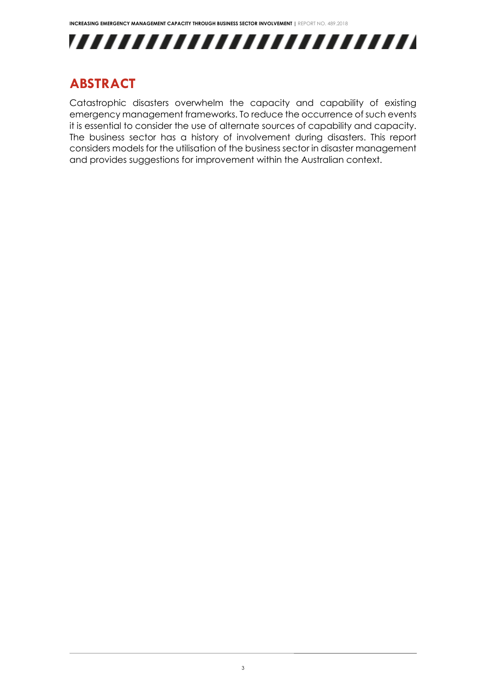

### <span id="page-3-0"></span>**ABSTRACT**

Catastrophic disasters overwhelm the capacity and capability of existing emergency management frameworks. To reduce the occurrence of such events it is essential to consider the use of alternate sources of capability and capacity. The business sector has a history of involvement during disasters. This report considers models for the utilisation of the business sector in disaster management and provides suggestions for improvement within the Australian context.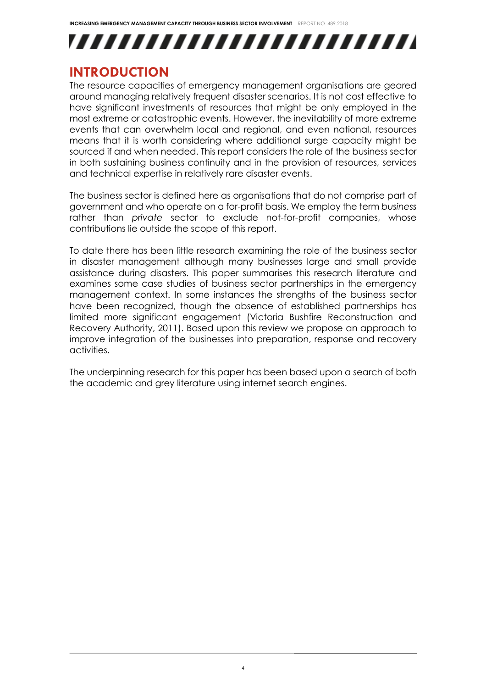# ,,,,,,,,,,,,,,,,,,,,,,,,,,

### <span id="page-4-0"></span>**INTRODUCTION**

The resource capacities of emergency management organisations are geared around managing relatively frequent disaster scenarios. It is not cost effective to have significant investments of resources that might be only employed in the most extreme or catastrophic events. However, the inevitability of more extreme events that can overwhelm local and regional, and even national, resources means that it is worth considering where additional surge capacity might be sourced if and when needed. This report considers the role of the business sector in both sustaining business continuity and in the provision of resources, services and technical expertise in relatively rare disaster events.

The business sector is defined here as organisations that do not comprise part of government and who operate on a for-profit basis. We employ the term *business* rather than *private* sector to exclude not-for-profit companies, whose contributions lie outside the scope of this report.

To date there has been little research examining the role of the business sector in disaster management although many businesses large and small provide assistance during disasters. This paper summarises this research literature and examines some case studies of business sector partnerships in the emergency management context. In some instances the strengths of the business sector have been recognized, though the absence of established partnerships has limited more significant engagement (Victoria Bushfire Reconstruction and Recovery Authority, 2011). Based upon this review we propose an approach to improve integration of the businesses into preparation, response and recovery activities.

The underpinning research for this paper has been based upon a search of both the academic and grey literature using internet search engines.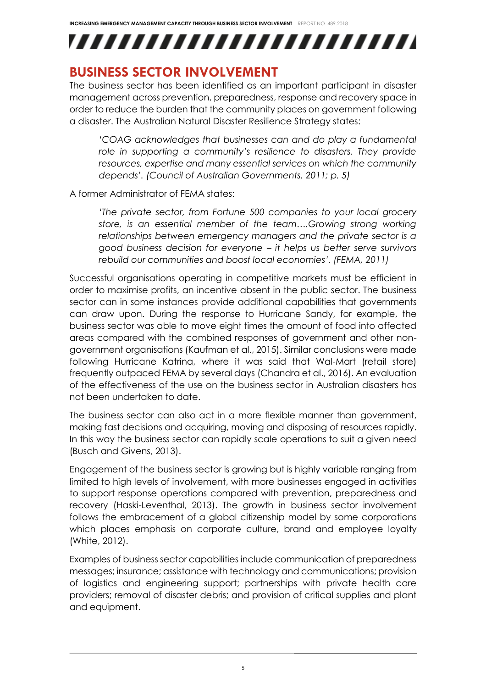,,,,,,,,,,,,,,,,,,,,,,,,,

#### <span id="page-5-0"></span>**BUSINESS SECTOR INVOLVEMENT**

The business sector has been identified as an important participant in disaster management across prevention, preparedness, response and recovery space in order to reduce the burden that the community places on government following a disaster. The Australian Natural Disaster Resilience Strategy states:

*'COAG acknowledges that businesses can and do play a fundamental role in supporting a community's resilience to disasters. They provide resources, expertise and many essential services on which the community depends'. (Council of Australian Governments, 2011; p. 5)*

A former Administrator of FEMA states:

*'The private sector, from Fortune 500 companies to your local grocery store, is an essential member of the team….Growing strong working relationships between emergency managers and the private sector is a good business decision for everyone – it helps us better serve survivors rebuild our communities and boost local economies'. (FEMA, 2011)*

Successful organisations operating in competitive markets must be efficient in order to maximise profits, an incentive absent in the public sector. The business sector can in some instances provide additional capabilities that governments can draw upon. During the response to Hurricane Sandy, for example, the business sector was able to move eight times the amount of food into affected areas compared with the combined responses of government and other nongovernment organisations (Kaufman et al., 2015). Similar conclusions were made following Hurricane Katrina, where it was said that Wal-Mart (retail store) frequently outpaced FEMA by several days (Chandra et al., 2016). An evaluation of the effectiveness of the use on the business sector in Australian disasters has not been undertaken to date.

The business sector can also act in a more flexible manner than government, making fast decisions and acquiring, moving and disposing of resources rapidly. In this way the business sector can rapidly scale operations to suit a given need (Busch and Givens, 2013).

Engagement of the business sector is growing but is highly variable ranging from limited to high levels of involvement, with more businesses engaged in activities to support response operations compared with prevention, preparedness and recovery (Haski-Leventhal, 2013). The growth in business sector involvement follows the embracement of a global citizenship model by some corporations which places emphasis on corporate culture, brand and employee loyalty (White, 2012).

Examples of business sector capabilities include communication of preparedness messages; insurance; assistance with technology and communications; provision of logistics and engineering support; partnerships with private health care providers; removal of disaster debris; and provision of critical supplies and plant and equipment.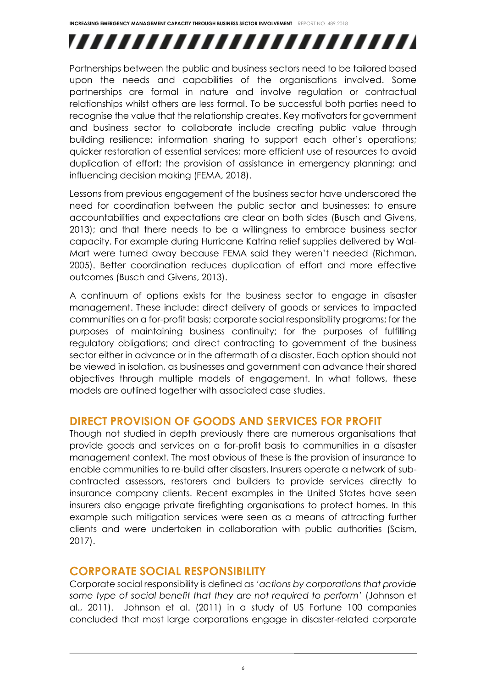# ,,,,,,,,,,,,,,,,,,,,,,,,,

Partnerships between the public and business sectors need to be tailored based upon the needs and capabilities of the organisations involved. Some partnerships are formal in nature and involve regulation or contractual relationships whilst others are less formal. To be successful both parties need to recognise the value that the relationship creates. Key motivators for government and business sector to collaborate include creating public value through building resilience; information sharing to support each other's operations; quicker restoration of essential services; more efficient use of resources to avoid duplication of effort; the provision of assistance in emergency planning; and influencing decision making (FEMA, 2018).

Lessons from previous engagement of the business sector have underscored the need for coordination between the public sector and businesses; to ensure accountabilities and expectations are clear on both sides (Busch and Givens, 2013); and that there needs to be a willingness to embrace business sector capacity. For example during Hurricane Katrina relief supplies delivered by Wal-Mart were turned away because FEMA said they weren't needed (Richman, 2005). Better coordination reduces duplication of effort and more effective outcomes (Busch and Givens, 2013).

A continuum of options exists for the business sector to engage in disaster management. These include: direct delivery of goods or services to impacted communities on a for-profit basis; corporate social responsibility programs; for the purposes of maintaining business continuity; for the purposes of fulfilling regulatory obligations; and direct contracting to government of the business sector either in advance or in the aftermath of a disaster. Each option should not be viewed in isolation, as businesses and government can advance their shared objectives through multiple models of engagement. In what follows, these models are outlined together with associated case studies.

#### **DIRECT PROVISION OF GOODS AND SERVICES FOR PROFIT**

Though not studied in depth previously there are numerous organisations that provide goods and services on a for-profit basis to communities in a disaster management context. The most obvious of these is the provision of insurance to enable communities to re-build after disasters. Insurers operate a network of subcontracted assessors, restorers and builders to provide services directly to insurance company clients. Recent examples in the United States have seen insurers also engage private firefighting organisations to protect homes. In this example such mitigation services were seen as a means of attracting further clients and were undertaken in collaboration with public authorities (Scism, 2017).

#### **CORPORATE SOCIAL RESPONSIBILITY**

Corporate social responsibility is defined as *'actions by corporations that provide some type of social benefit that they are not required to perform'* (Johnson et al., 2011).Johnson et al. (2011) in a study of US Fortune 100 companies concluded that most large corporations engage in disaster-related corporate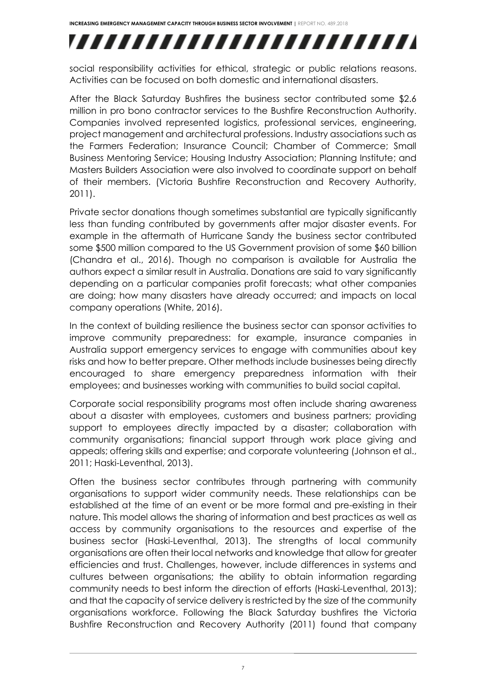# ,,,,,,,,,,,,,,,,,,,,,,,,,

social responsibility activities for ethical, strategic or public relations reasons. Activities can be focused on both domestic and international disasters.

After the Black Saturday Bushfires the business sector contributed some \$2.6 million in pro bono contractor services to the Bushfire Reconstruction Authority. Companies involved represented logistics, professional services, engineering, project management and architectural professions. Industry associations such as the Farmers Federation; Insurance Council; Chamber of Commerce; Small Business Mentoring Service; Housing Industry Association; Planning Institute; and Masters Builders Association were also involved to coordinate support on behalf of their members. (Victoria Bushfire Reconstruction and Recovery Authority, 2011).

Private sector donations though sometimes substantial are typically significantly less than funding contributed by governments after major disaster events. For example in the aftermath of Hurricane Sandy the business sector contributed some \$500 million compared to the US Government provision of some \$60 billion (Chandra et al., 2016). Though no comparison is available for Australia the authors expect a similar result in Australia. Donations are said to vary significantly depending on a particular companies profit forecasts; what other companies are doing; how many disasters have already occurred; and impacts on local company operations (White, 2016).

In the context of building resilience the business sector can sponsor activities to improve community preparedness: for example, insurance companies in Australia support emergency services to engage with communities about key risks and how to better prepare. Other methods include businesses being directly encouraged to share emergency preparedness information with their employees; and businesses working with communities to build social capital.

Corporate social responsibility programs most often include sharing awareness about a disaster with employees, customers and business partners; providing support to employees directly impacted by a disaster; collaboration with community organisations; financial support through work place giving and appeals; offering skills and expertise; and corporate volunteering (Johnson et al., 2011; Haski-Leventhal, 2013).

Often the business sector contributes through partnering with community organisations to support wider community needs. These relationships can be established at the time of an event or be more formal and pre-existing in their nature. This model allows the sharing of information and best practices as well as access by community organisations to the resources and expertise of the business sector (Haski-Leventhal, 2013). The strengths of local community organisations are often their local networks and knowledge that allow for greater efficiencies and trust. Challenges, however, include differences in systems and cultures between organisations; the ability to obtain information regarding community needs to best inform the direction of efforts (Haski-Leventhal, 2013); and that the capacity of service delivery is restricted by the size of the community organisations workforce. Following the Black Saturday bushfires the Victoria Bushfire Reconstruction and Recovery Authority (2011) found that company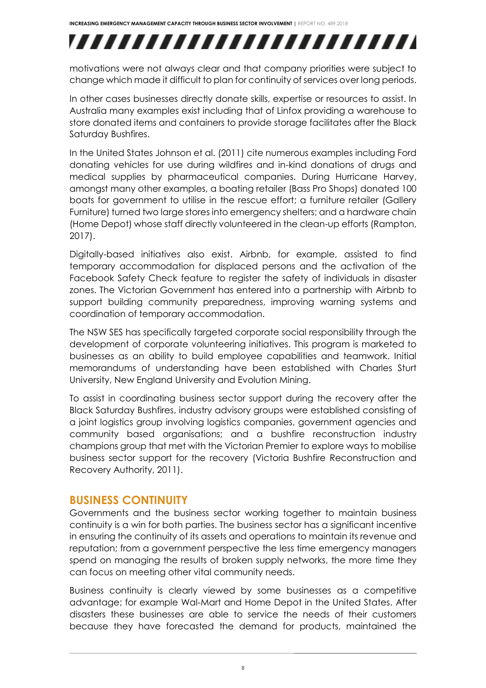# ,,,,,,,,,,,,,,,,,,,,,,,,,

motivations were not always clear and that company priorities were subject to change which made it difficult to plan for continuity of services over long periods.

In other cases businesses directly donate skills, expertise or resources to assist. In Australia many examples exist including that of Linfox providing a warehouse to store donated items and containers to provide storage facilitates after the Black Saturday Bushfires.

In the United States Johnson et al. (2011) cite numerous examples including Ford donating vehicles for use during wildfires and in-kind donations of drugs and medical supplies by pharmaceutical companies. During Hurricane Harvey, amongst many other examples, a boating retailer (Bass Pro Shops) donated 100 boats for government to utilise in the rescue effort; a furniture retailer (Gallery Furniture) turned two large stores into emergency shelters; and a hardware chain (Home Depot) whose staff directly volunteered in the clean-up efforts (Rampton, 2017).

Digitally-based initiatives also exist. Airbnb, for example, assisted to find temporary accommodation for displaced persons and the activation of the Facebook Safety Check feature to register the safety of individuals in disaster zones. The Victorian Government has entered into a partnership with Airbnb to support building community preparedness, improving warning systems and coordination of temporary accommodation.

The NSW SES has specifically targeted corporate social responsibility through the development of corporate volunteering initiatives. This program is marketed to businesses as an ability to build employee capabilities and teamwork. Initial memorandums of understanding have been established with Charles Sturt University, New England University and Evolution Mining.

To assist in coordinating business sector support during the recovery after the Black Saturday Bushfires, industry advisory groups were established consisting of a joint logistics group involving logistics companies, government agencies and community based organisations; and a bushfire reconstruction industry champions group that met with the Victorian Premier to explore ways to mobilise business sector support for the recovery (Victoria Bushfire Reconstruction and Recovery Authority, 2011).

#### **BUSINESS CONTINUITY**

Governments and the business sector working together to maintain business continuity is a win for both parties. The business sector has a significant incentive in ensuring the continuity of its assets and operations to maintain its revenue and reputation; from a government perspective the less time emergency managers spend on managing the results of broken supply networks, the more time they can focus on meeting other vital community needs.

Business continuity is clearly viewed by some businesses as a competitive advantage; for example Wal-Mart and Home Depot in the United States. After disasters these businesses are able to service the needs of their customers because they have forecasted the demand for products, maintained the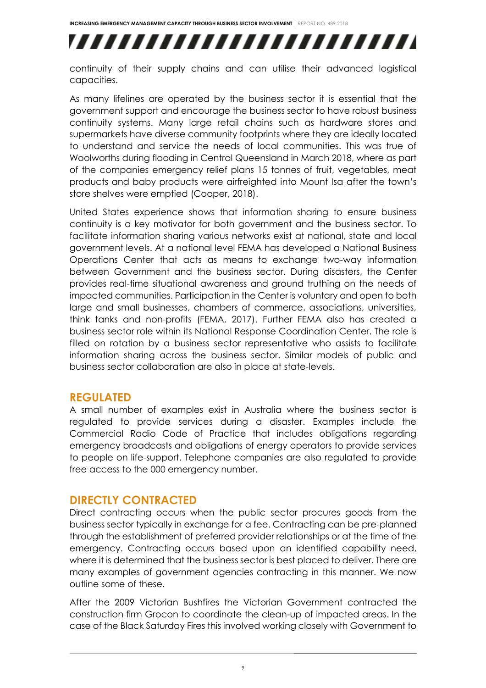# ,,,,,,,,,,,,,,,,,,,,,,,,,

continuity of their supply chains and can utilise their advanced logistical capacities.

As many lifelines are operated by the business sector it is essential that the government support and encourage the business sector to have robust business continuity systems. Many large retail chains such as hardware stores and supermarkets have diverse community footprints where they are ideally located to understand and service the needs of local communities. This was true of Woolworths during flooding in Central Queensland in March 2018, where as part of the companies emergency relief plans 15 tonnes of fruit, vegetables, meat products and baby products were airfreighted into Mount Isa after the town's store shelves were emptied (Cooper, 2018).

United States experience shows that information sharing to ensure business continuity is a key motivator for both government and the business sector. To facilitate information sharing various networks exist at national, state and local government levels. At a national level FEMA has developed a National Business Operations Center that acts as means to exchange two-way information between Government and the business sector. During disasters, the Center provides real-time situational awareness and ground truthing on the needs of impacted communities. Participation in the Center is voluntary and open to both large and small businesses, chambers of commerce, associations, universities, think tanks and non-profits (FEMA, 2017). Further FEMA also has created a business sector role within its National Response Coordination Center. The role is filled on rotation by a business sector representative who assists to facilitate information sharing across the business sector. Similar models of public and business sector collaboration are also in place at state-levels.

#### **REGULATED**

A small number of examples exist in Australia where the business sector is regulated to provide services during a disaster. Examples include the Commercial Radio Code of Practice that includes obligations regarding emergency broadcasts and obligations of energy operators to provide services to people on life-support. Telephone companies are also regulated to provide free access to the 000 emergency number.

#### **DIRECTLY CONTRACTED**

Direct contracting occurs when the public sector procures goods from the business sector typically in exchange for a fee. Contracting can be pre-planned through the establishment of preferred provider relationships or at the time of the emergency. Contracting occurs based upon an identified capability need, where it is determined that the business sector is best placed to deliver. There are many examples of government agencies contracting in this manner. We now outline some of these.

After the 2009 Victorian Bushfires the Victorian Government contracted the construction firm Grocon to coordinate the clean-up of impacted areas. In the case of the Black Saturday Fires this involved working closely with Government to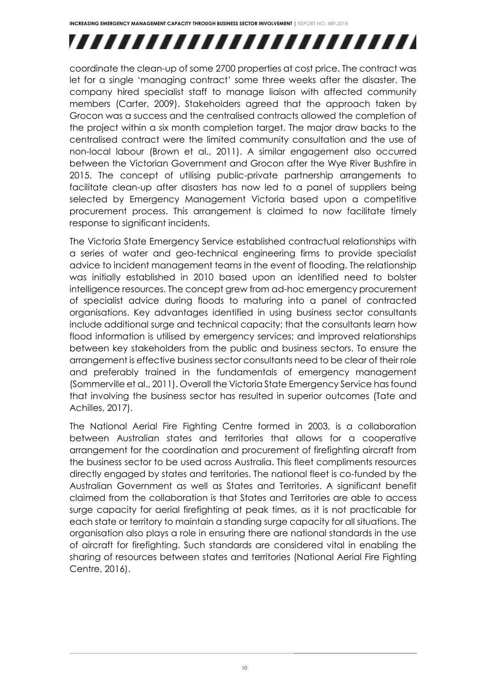# ,,,,,,,,,,,,,,,,,,,,,,,,,,

coordinate the clean-up of some 2700 properties at cost price. The contract was let for a single 'managing contract' some three weeks after the disaster. The company hired specialist staff to manage liaison with affected community members (Carter, 2009). Stakeholders agreed that the approach taken by Grocon was a success and the centralised contracts allowed the completion of the project within a six month completion target. The major draw backs to the centralised contract were the limited community consultation and the use of non-local labour (Brown et al., 2011). A similar engagement also occurred between the Victorian Government and Grocon after the Wye River Bushfire in 2015. The concept of utilising public-private partnership arrangements to facilitate clean-up after disasters has now led to a panel of suppliers being selected by Emergency Management Victoria based upon a competitive procurement process. This arrangement is claimed to now facilitate timely response to significant incidents.

The Victoria State Emergency Service established contractual relationships with a series of water and geo-technical engineering firms to provide specialist advice to incident management teams in the event of flooding. The relationship was initially established in 2010 based upon an identified need to bolster intelligence resources. The concept grew from ad-hoc emergency procurement of specialist advice during floods to maturing into a panel of contracted organisations. Key advantages identified in using business sector consultants include additional surge and technical capacity; that the consultants learn how flood information is utilised by emergency services; and improved relationships between key stakeholders from the public and business sectors. To ensure the arrangement is effective business sector consultants need to be clear of their role and preferably trained in the fundamentals of emergency management (Sommerville et al., 2011). Overall the Victoria State Emergency Service has found that involving the business sector has resulted in superior outcomes (Tate and Achilles, 2017).

The National Aerial Fire Fighting Centre formed in 2003, is a collaboration between Australian states and territories that allows for a cooperative arrangement for the coordination and procurement of firefighting aircraft from the business sector to be used across Australia. This fleet compliments resources directly engaged by states and territories. The national fleet is co-funded by the Australian Government as well as States and Territories. A significant benefit claimed from the collaboration is that States and Territories are able to access surge capacity for aerial firefighting at peak times, as it is not practicable for each state or territory to maintain a standing surge capacity for all situations. The organisation also plays a role in ensuring there are national standards in the use of aircraft for firefighting. Such standards are considered vital in enabling the sharing of resources between states and territories (National Aerial Fire Fighting Centre, 2016).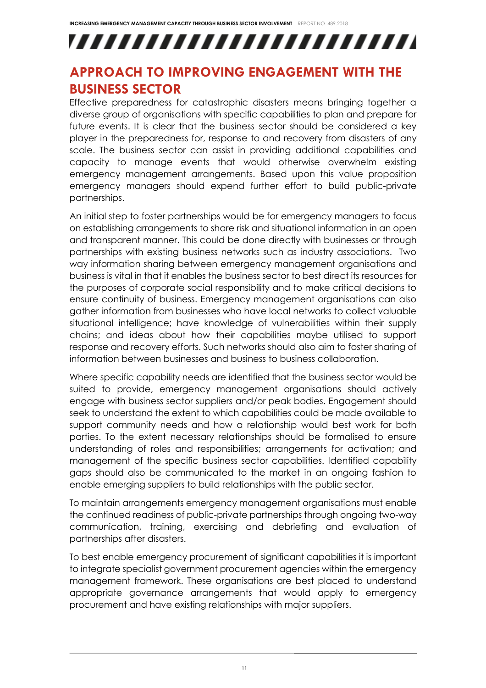# ,,,,,,,,,,,,,,,,,,,,,,,,,,

### <span id="page-11-0"></span>**APPROACH TO IMPROVING ENGAGEMENT WITH THE BUSINESS SECTOR**

Effective preparedness for catastrophic disasters means bringing together a diverse group of organisations with specific capabilities to plan and prepare for future events. It is clear that the business sector should be considered a key player in the preparedness for, response to and recovery from disasters of any scale. The business sector can assist in providing additional capabilities and capacity to manage events that would otherwise overwhelm existing emergency management arrangements. Based upon this value proposition emergency managers should expend further effort to build public-private partnerships.

An initial step to foster partnerships would be for emergency managers to focus on establishing arrangements to share risk and situational information in an open and transparent manner. This could be done directly with businesses or through partnerships with existing business networks such as industry associations. Two way information sharing between emergency management organisations and business is vital in that it enables the business sector to best direct its resources for the purposes of corporate social responsibility and to make critical decisions to ensure continuity of business. Emergency management organisations can also gather information from businesses who have local networks to collect valuable situational intelligence; have knowledge of vulnerabilities within their supply chains; and ideas about how their capabilities maybe utilised to support response and recovery efforts. Such networks should also aim to foster sharing of information between businesses and business to business collaboration.

Where specific capability needs are identified that the business sector would be suited to provide, emergency management organisations should actively engage with business sector suppliers and/or peak bodies. Engagement should seek to understand the extent to which capabilities could be made available to support community needs and how a relationship would best work for both parties. To the extent necessary relationships should be formalised to ensure understanding of roles and responsibilities; arrangements for activation; and management of the specific business sector capabilities. Identified capability gaps should also be communicated to the market in an ongoing fashion to enable emerging suppliers to build relationships with the public sector.

To maintain arrangements emergency management organisations must enable the continued readiness of public-private partnerships through ongoing two-way communication, training, exercising and debriefing and evaluation of partnerships after disasters.

To best enable emergency procurement of significant capabilities it is important to integrate specialist government procurement agencies within the emergency management framework. These organisations are best placed to understand appropriate governance arrangements that would apply to emergency procurement and have existing relationships with major suppliers.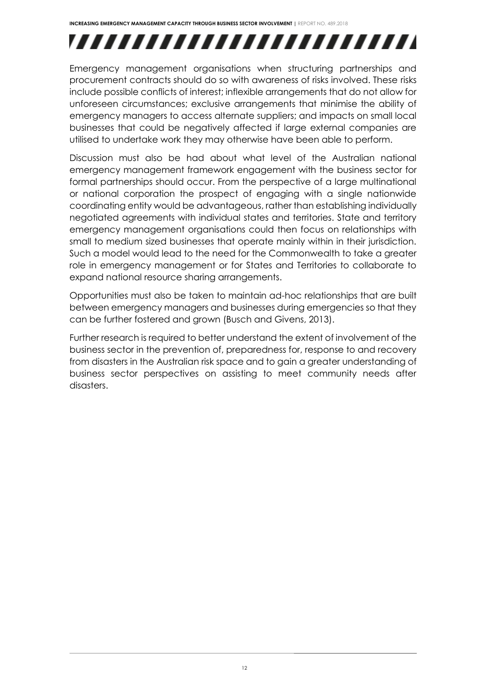# ,,,,,,,,,,,,,,,,,,,,,,,,,

Emergency management organisations when structuring partnerships and procurement contracts should do so with awareness of risks involved. These risks include possible conflicts of interest; inflexible arrangements that do not allow for unforeseen circumstances; exclusive arrangements that minimise the ability of emergency managers to access alternate suppliers; and impacts on small local businesses that could be negatively affected if large external companies are utilised to undertake work they may otherwise have been able to perform.

Discussion must also be had about what level of the Australian national emergency management framework engagement with the business sector for formal partnerships should occur. From the perspective of a large multinational or national corporation the prospect of engaging with a single nationwide coordinating entity would be advantageous, rather than establishing individually negotiated agreements with individual states and territories. State and territory emergency management organisations could then focus on relationships with small to medium sized businesses that operate mainly within in their jurisdiction. Such a model would lead to the need for the Commonwealth to take a greater role in emergency management or for States and Territories to collaborate to expand national resource sharing arrangements.

Opportunities must also be taken to maintain ad-hoc relationships that are built between emergency managers and businesses during emergencies so that they can be further fostered and grown (Busch and Givens, 2013).

Further research is required to better understand the extent of involvement of the business sector in the prevention of, preparedness for, response to and recovery from disasters in the Australian risk space and to gain a greater understanding of business sector perspectives on assisting to meet community needs after disasters.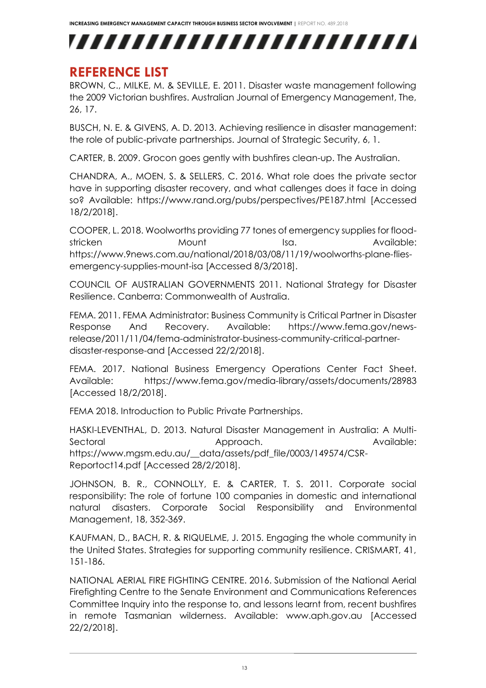## ,,,,,,,,,,,,,,,,,,,,,,,,,,

#### <span id="page-13-0"></span>**REFERENCE LIST**

BROWN, C., MILKE, M. & SEVILLE, E. 2011. Disaster waste management following the 2009 Victorian bushfires. Australian Journal of Emergency Management, The, 26, 17.

BUSCH, N. E. & GIVENS, A. D. 2013. Achieving resilience in disaster management: the role of public-private partnerships. Journal of Strategic Security, 6, 1.

CARTER, B. 2009. Grocon goes gently with bushfires clean-up. The Australian.

CHANDRA, A., MOEN, S. & SELLERS, C. 2016. What role does the private sector have in supporting disaster recovery, and what callenges does it face in doing so? Available: <https://www.rand.org/pubs/perspectives/PE187.html> [Accessed 18/2/2018].

COOPER, L. 2018. Woolworths providing 77 tones of emergency supplies for floodstricken Mount Isa. Available: [https://www.9news.com.au/national/2018/03/08/11/19/woolworths-plane-flies](https://www.9news.com.au/national/2018/03/08/11/19/woolworths-plane-flies-emergency-supplies-mount-isa)[emergency-supplies-mount-isa](https://www.9news.com.au/national/2018/03/08/11/19/woolworths-plane-flies-emergency-supplies-mount-isa) [Accessed 8/3/2018].

COUNCIL OF AUSTRALIAN GOVERNMENTS 2011. National Strategy for Disaster Resilience. Canberra: Commonwealth of Australia.

FEMA. 2011. FEMA Administrator: Business Community is Critical Partner in Disaster Response And Recovery. Available: [https://www.fema.gov/news](https://www.fema.gov/news-release/2011/11/04/fema-administrator-business-community-critical-partner-disaster-response-and)[release/2011/11/04/fema-administrator-business-community-critical-partner](https://www.fema.gov/news-release/2011/11/04/fema-administrator-business-community-critical-partner-disaster-response-and)[disaster-response-and](https://www.fema.gov/news-release/2011/11/04/fema-administrator-business-community-critical-partner-disaster-response-and) [Accessed 22/2/2018].

FEMA. 2017. National Business Emergency Operations Center Fact Sheet. Available: <https://www.fema.gov/media-library/assets/documents/28983> [Accessed 18/2/2018].

FEMA 2018. Introduction to Public Private Partnerships.

HASKI-LEVENTHAL, D. 2013. Natural Disaster Management in Australia: A Multi-Sectoral **Approach.** Approach. Available: [https://www.mgsm.edu.au/\\_\\_data/assets/pdf\\_file/0003/149574/CSR-](https://www.mgsm.edu.au/__data/assets/pdf_file/0003/149574/CSR-Reportoct14.pdf)[Reportoct14.pdf](https://www.mgsm.edu.au/__data/assets/pdf_file/0003/149574/CSR-Reportoct14.pdf) [Accessed 28/2/2018].

JOHNSON, B. R., CONNOLLY, E. & CARTER, T. S. 2011. Corporate social responsibility: The role of fortune 100 companies in domestic and international natural disasters. Corporate Social Responsibility and Environmental Management, 18, 352-369.

KAUFMAN, D., BACH, R. & RIQUELME, J. 2015. Engaging the whole community in the United States. Strategies for supporting community resilience. CRISMART, 41, 151-186.

NATIONAL AERIAL FIRE FIGHTING CENTRE. 2016. Submission of the National Aerial Firefighting Centre to the Senate Environment and Communications References Committee Inquiry into the response to, and lessons learnt from, recent bushfires in remote Tasmanian wilderness. Available: [www.aph.gov.au](http://www.aph.gov.au/) [Accessed 22/2/2018].